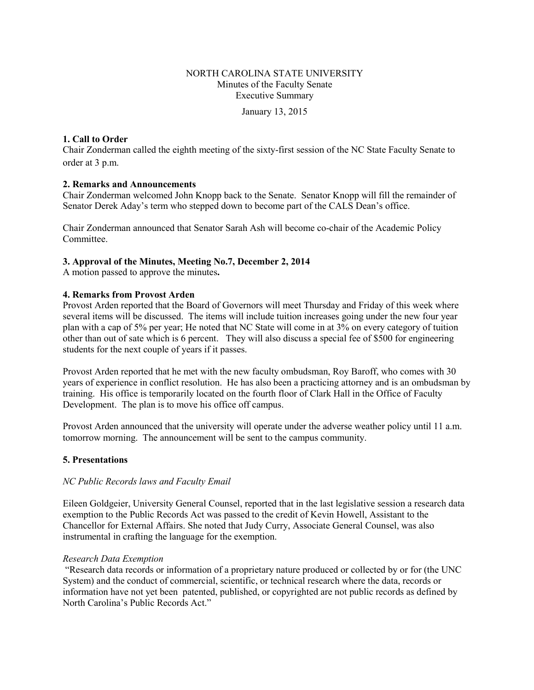### NORTH CAROLINA STATE UNIVERSITY Minutes of the Faculty Senate Executive Summary

January 13, 2015

#### **1. Call to Order**

Chair Zonderman called the eighth meeting of the sixty-first session of the NC State Faculty Senate to order at 3 p.m.

#### **2. Remarks and Announcements**

Chair Zonderman welcomed John Knopp back to the Senate. Senator Knopp will fill the remainder of Senator Derek Aday's term who stepped down to become part of the CALS Dean's office.

Chair Zonderman announced that Senator Sarah Ash will become co-chair of the Academic Policy Committee.

#### **3. Approval of the Minutes, Meeting No.7, December 2, 2014**

A motion passed to approve the minutes**.** 

#### **4. Remarks from Provost Arden**

Provost Arden reported that the Board of Governors will meet Thursday and Friday of this week where several items will be discussed. The items will include tuition increases going under the new four year plan with a cap of 5% per year; He noted that NC State will come in at 3% on every category of tuition other than out of sate which is 6 percent. They will also discuss a special fee of \$500 for engineering students for the next couple of years if it passes.

Provost Arden reported that he met with the new faculty ombudsman, Roy Baroff, who comes with 30 years of experience in conflict resolution. He has also been a practicing attorney and is an ombudsman by training. His office is temporarily located on the fourth floor of Clark Hall in the Office of Faculty Development. The plan is to move his office off campus.

Provost Arden announced that the university will operate under the adverse weather policy until 11 a.m. tomorrow morning. The announcement will be sent to the campus community.

### **5. Presentations**

#### *NC Public Records laws and Faculty Email*

Eileen Goldgeier, University General Counsel, reported that in the last legislative session a research data exemption to the Public Records Act was passed to the credit of Kevin Howell, Assistant to the Chancellor for External Affairs. She noted that Judy Curry, Associate General Counsel, was also instrumental in crafting the language for the exemption.

#### *Research Data Exemption*

"Research data records or information of a proprietary nature produced or collected by or for (the UNC System) and the conduct of commercial, scientific, or technical research where the data, records or information have not yet been patented, published, or copyrighted are not public records as defined by North Carolina's Public Records Act."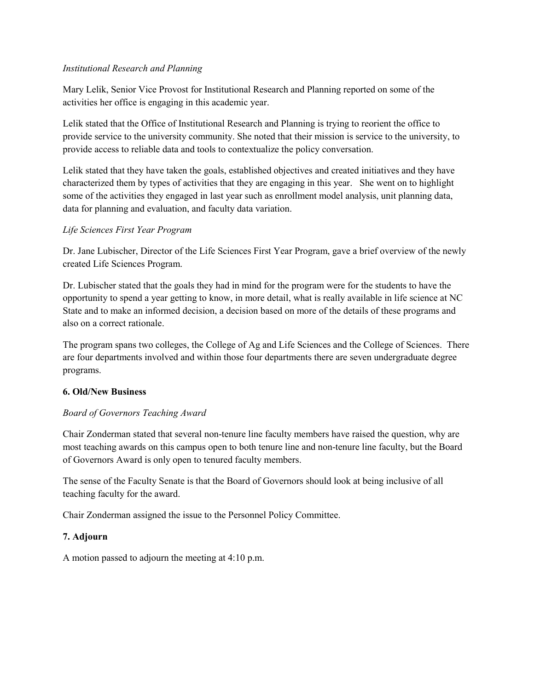### *Institutional Research and Planning*

Mary Lelik, Senior Vice Provost for Institutional Research and Planning reported on some of the activities her office is engaging in this academic year.

Lelik stated that the Office of Institutional Research and Planning is trying to reorient the office to provide service to the university community. She noted that their mission is service to the university, to provide access to reliable data and tools to contextualize the policy conversation.

Lelik stated that they have taken the goals, established objectives and created initiatives and they have characterized them by types of activities that they are engaging in this year. She went on to highlight some of the activities they engaged in last year such as enrollment model analysis, unit planning data, data for planning and evaluation, and faculty data variation.

# *Life Sciences First Year Program*

Dr. Jane Lubischer, Director of the Life Sciences First Year Program, gave a brief overview of the newly created Life Sciences Program.

Dr. Lubischer stated that the goals they had in mind for the program were for the students to have the opportunity to spend a year getting to know, in more detail, what is really available in life science at NC State and to make an informed decision, a decision based on more of the details of these programs and also on a correct rationale.

The program spans two colleges, the College of Ag and Life Sciences and the College of Sciences. There are four departments involved and within those four departments there are seven undergraduate degree programs.

# **6. Old/New Business**

# *Board of Governors Teaching Award*

Chair Zonderman stated that several non-tenure line faculty members have raised the question, why are most teaching awards on this campus open to both tenure line and non-tenure line faculty, but the Board of Governors Award is only open to tenured faculty members.

The sense of the Faculty Senate is that the Board of Governors should look at being inclusive of all teaching faculty for the award.

Chair Zonderman assigned the issue to the Personnel Policy Committee.

# **7. Adjourn**

A motion passed to adjourn the meeting at 4:10 p.m.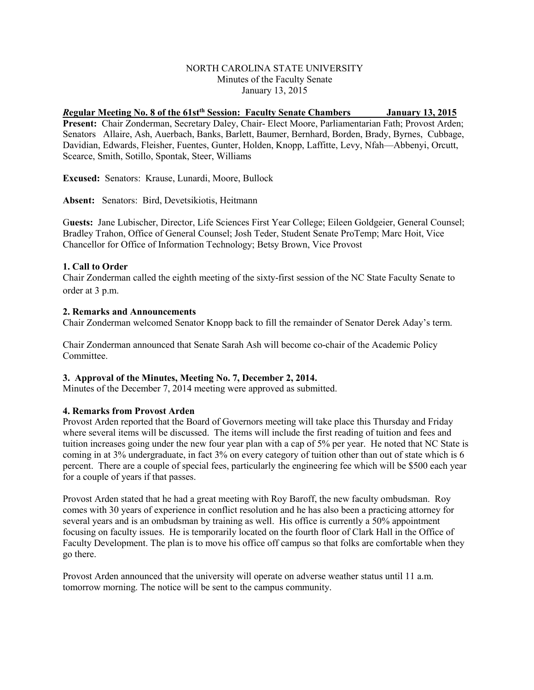#### NORTH CAROLINA STATE UNIVERSITY Minutes of the Faculty Senate January 13, 2015

# *R***egular Meeting No. 8 of the 61stth Session: Faculty Senate Chambers January 13, 2015**

**Present:** Chair Zonderman, Secretary Daley, Chair- Elect Moore, Parliamentarian Fath; Provost Arden; Senators Allaire, Ash, Auerbach, Banks, Barlett, Baumer, Bernhard, Borden, Brady, Byrnes, Cubbage, Davidian, Edwards, Fleisher, Fuentes, Gunter, Holden, Knopp, Laffitte, Levy, Nfah—Abbenyi, Orcutt, Scearce, Smith, Sotillo, Spontak, Steer, Williams

**Excused:** Senators: Krause, Lunardi, Moore, Bullock

**Absent:** Senators: Bird, Devetsikiotis, Heitmann

G**uests:** Jane Lubischer, Director, Life Sciences First Year College; Eileen Goldgeier, General Counsel; Bradley Trahon, Office of General Counsel; Josh Teder, Student Senate ProTemp; Marc Hoit, Vice Chancellor for Office of Information Technology; Betsy Brown, Vice Provost

#### **1. Call to Order**

Chair Zonderman called the eighth meeting of the sixty-first session of the NC State Faculty Senate to order at 3 p.m.

#### **2. Remarks and Announcements**

Chair Zonderman welcomed Senator Knopp back to fill the remainder of Senator Derek Aday's term.

Chair Zonderman announced that Senate Sarah Ash will become co-chair of the Academic Policy Committee.

#### **3. Approval of the Minutes, Meeting No. 7, December 2, 2014.**

Minutes of the December 7, 2014 meeting were approved as submitted.

#### **4. Remarks from Provost Arden**

Provost Arden reported that the Board of Governors meeting will take place this Thursday and Friday where several items will be discussed. The items will include the first reading of tuition and fees and tuition increases going under the new four year plan with a cap of 5% per year. He noted that NC State is coming in at 3% undergraduate, in fact 3% on every category of tuition other than out of state which is 6 percent. There are a couple of special fees, particularly the engineering fee which will be \$500 each year for a couple of years if that passes.

Provost Arden stated that he had a great meeting with Roy Baroff, the new faculty ombudsman. Roy comes with 30 years of experience in conflict resolution and he has also been a practicing attorney for several years and is an ombudsman by training as well. His office is currently a 50% appointment focusing on faculty issues. He is temporarily located on the fourth floor of Clark Hall in the Office of Faculty Development. The plan is to move his office off campus so that folks are comfortable when they go there.

Provost Arden announced that the university will operate on adverse weather status until 11 a.m. tomorrow morning. The notice will be sent to the campus community.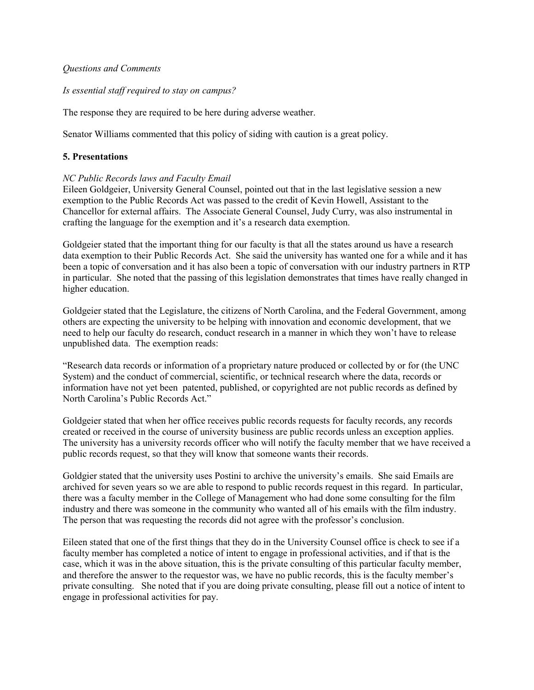#### *Questions and Comments*

#### *Is essential staff required to stay on campus?*

The response they are required to be here during adverse weather.

Senator Williams commented that this policy of siding with caution is a great policy.

#### **5. Presentations**

#### *NC Public Records laws and Faculty Email*

Eileen Goldgeier, University General Counsel, pointed out that in the last legislative session a new exemption to the Public Records Act was passed to the credit of Kevin Howell, Assistant to the Chancellor for external affairs. The Associate General Counsel, Judy Curry, was also instrumental in crafting the language for the exemption and it's a research data exemption.

Goldgeier stated that the important thing for our faculty is that all the states around us have a research data exemption to their Public Records Act. She said the university has wanted one for a while and it has been a topic of conversation and it has also been a topic of conversation with our industry partners in RTP in particular. She noted that the passing of this legislation demonstrates that times have really changed in higher education.

Goldgeier stated that the Legislature, the citizens of North Carolina, and the Federal Government, among others are expecting the university to be helping with innovation and economic development, that we need to help our faculty do research, conduct research in a manner in which they won't have to release unpublished data. The exemption reads:

"Research data records or information of a proprietary nature produced or collected by or for (the UNC System) and the conduct of commercial, scientific, or technical research where the data, records or information have not yet been patented, published, or copyrighted are not public records as defined by North Carolina's Public Records Act."

Goldgeier stated that when her office receives public records requests for faculty records, any records created or received in the course of university business are public records unless an exception applies. The university has a university records officer who will notify the faculty member that we have received a public records request, so that they will know that someone wants their records.

Goldgier stated that the university uses Postini to archive the university's emails. She said Emails are archived for seven years so we are able to respond to public records request in this regard. In particular, there was a faculty member in the College of Management who had done some consulting for the film industry and there was someone in the community who wanted all of his emails with the film industry. The person that was requesting the records did not agree with the professor's conclusion.

Eileen stated that one of the first things that they do in the University Counsel office is check to see if a faculty member has completed a notice of intent to engage in professional activities, and if that is the case, which it was in the above situation, this is the private consulting of this particular faculty member, and therefore the answer to the requestor was, we have no public records, this is the faculty member's private consulting. She noted that if you are doing private consulting, please fill out a notice of intent to engage in professional activities for pay.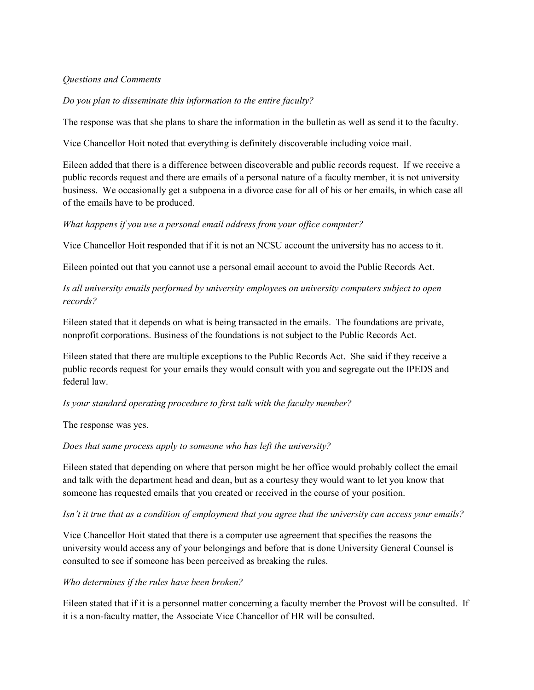### *Questions and Comments*

*Do you plan to disseminate this information to the entire faculty?*

The response was that she plans to share the information in the bulletin as well as send it to the faculty.

Vice Chancellor Hoit noted that everything is definitely discoverable including voice mail.

Eileen added that there is a difference between discoverable and public records request. If we receive a public records request and there are emails of a personal nature of a faculty member, it is not university business. We occasionally get a subpoena in a divorce case for all of his or her emails, in which case all of the emails have to be produced.

### *What happens if you use a personal email address from your office computer?*

Vice Chancellor Hoit responded that if it is not an NCSU account the university has no access to it.

Eileen pointed out that you cannot use a personal email account to avoid the Public Records Act.

*Is all university emails performed by university employee*s *on university computers subject to open records?*

Eileen stated that it depends on what is being transacted in the emails. The foundations are private, nonprofit corporations. Business of the foundations is not subject to the Public Records Act.

Eileen stated that there are multiple exceptions to the Public Records Act. She said if they receive a public records request for your emails they would consult with you and segregate out the IPEDS and federal law.

#### *Is your standard operating procedure to first talk with the faculty member?*

The response was yes.

*Does that same process apply to someone who has left the university?*

Eileen stated that depending on where that person might be her office would probably collect the email and talk with the department head and dean, but as a courtesy they would want to let you know that someone has requested emails that you created or received in the course of your position.

#### *Isn't it true that as a condition of employment that you agree that the university can access your emails?*

Vice Chancellor Hoit stated that there is a computer use agreement that specifies the reasons the university would access any of your belongings and before that is done University General Counsel is consulted to see if someone has been perceived as breaking the rules.

# *Who determines if the rules have been broken?*

Eileen stated that if it is a personnel matter concerning a faculty member the Provost will be consulted. If it is a non-faculty matter, the Associate Vice Chancellor of HR will be consulted.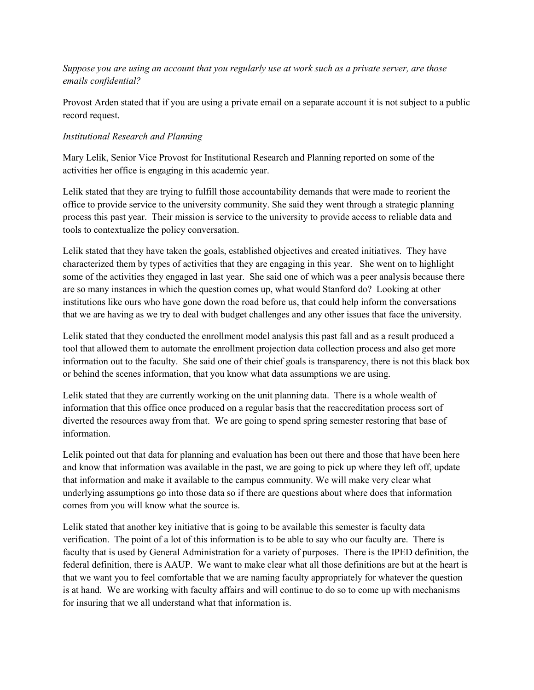# *Suppose you are using an account that you regularly use at work such as a private server, are those emails confidential?*

Provost Arden stated that if you are using a private email on a separate account it is not subject to a public record request.

# *Institutional Research and Planning*

Mary Lelik, Senior Vice Provost for Institutional Research and Planning reported on some of the activities her office is engaging in this academic year.

Lelik stated that they are trying to fulfill those accountability demands that were made to reorient the office to provide service to the university community. She said they went through a strategic planning process this past year. Their mission is service to the university to provide access to reliable data and tools to contextualize the policy conversation.

Lelik stated that they have taken the goals, established objectives and created initiatives. They have characterized them by types of activities that they are engaging in this year. She went on to highlight some of the activities they engaged in last year. She said one of which was a peer analysis because there are so many instances in which the question comes up, what would Stanford do? Looking at other institutions like ours who have gone down the road before us, that could help inform the conversations that we are having as we try to deal with budget challenges and any other issues that face the university.

Lelik stated that they conducted the enrollment model analysis this past fall and as a result produced a tool that allowed them to automate the enrollment projection data collection process and also get more information out to the faculty. She said one of their chief goals is transparency, there is not this black box or behind the scenes information, that you know what data assumptions we are using.

Lelik stated that they are currently working on the unit planning data. There is a whole wealth of information that this office once produced on a regular basis that the reaccreditation process sort of diverted the resources away from that. We are going to spend spring semester restoring that base of information.

Lelik pointed out that data for planning and evaluation has been out there and those that have been here and know that information was available in the past, we are going to pick up where they left off, update that information and make it available to the campus community. We will make very clear what underlying assumptions go into those data so if there are questions about where does that information comes from you will know what the source is.

Lelik stated that another key initiative that is going to be available this semester is faculty data verification. The point of a lot of this information is to be able to say who our faculty are. There is faculty that is used by General Administration for a variety of purposes. There is the IPED definition, the federal definition, there is AAUP. We want to make clear what all those definitions are but at the heart is that we want you to feel comfortable that we are naming faculty appropriately for whatever the question is at hand. We are working with faculty affairs and will continue to do so to come up with mechanisms for insuring that we all understand what that information is.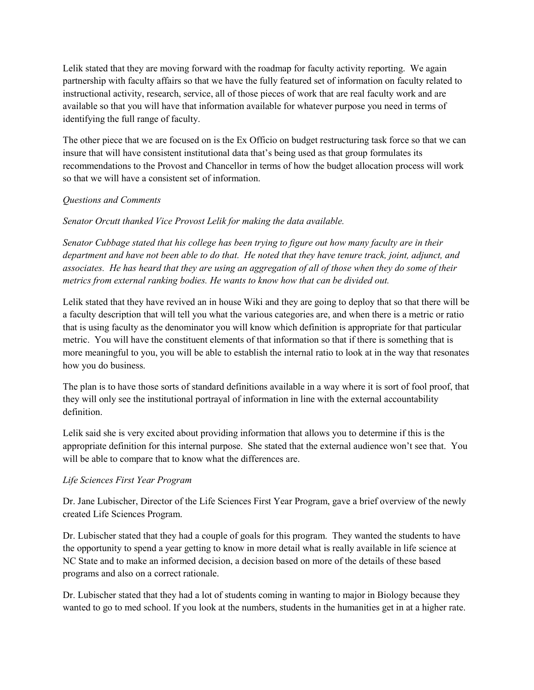Lelik stated that they are moving forward with the roadmap for faculty activity reporting. We again partnership with faculty affairs so that we have the fully featured set of information on faculty related to instructional activity, research, service, all of those pieces of work that are real faculty work and are available so that you will have that information available for whatever purpose you need in terms of identifying the full range of faculty.

The other piece that we are focused on is the Ex Officio on budget restructuring task force so that we can insure that will have consistent institutional data that's being used as that group formulates its recommendations to the Provost and Chancellor in terms of how the budget allocation process will work so that we will have a consistent set of information.

# *Questions and Comments*

*Senator Orcutt thanked Vice Provost Lelik for making the data available.* 

*Senator Cubbage stated that his college has been trying to figure out how many faculty are in their department and have not been able to do that. He noted that they have tenure track, joint, adjunct, and associates. He has heard that they are using an aggregation of all of those when they do some of their metrics from external ranking bodies. He wants to know how that can be divided out.*

Lelik stated that they have revived an in house Wiki and they are going to deploy that so that there will be a faculty description that will tell you what the various categories are, and when there is a metric or ratio that is using faculty as the denominator you will know which definition is appropriate for that particular metric. You will have the constituent elements of that information so that if there is something that is more meaningful to you, you will be able to establish the internal ratio to look at in the way that resonates how you do business.

The plan is to have those sorts of standard definitions available in a way where it is sort of fool proof, that they will only see the institutional portrayal of information in line with the external accountability definition.

Lelik said she is very excited about providing information that allows you to determine if this is the appropriate definition for this internal purpose. She stated that the external audience won't see that. You will be able to compare that to know what the differences are.

# *Life Sciences First Year Program*

Dr. Jane Lubischer, Director of the Life Sciences First Year Program, gave a brief overview of the newly created Life Sciences Program.

Dr. Lubischer stated that they had a couple of goals for this program. They wanted the students to have the opportunity to spend a year getting to know in more detail what is really available in life science at NC State and to make an informed decision, a decision based on more of the details of these based programs and also on a correct rationale.

Dr. Lubischer stated that they had a lot of students coming in wanting to major in Biology because they wanted to go to med school. If you look at the numbers, students in the humanities get in at a higher rate.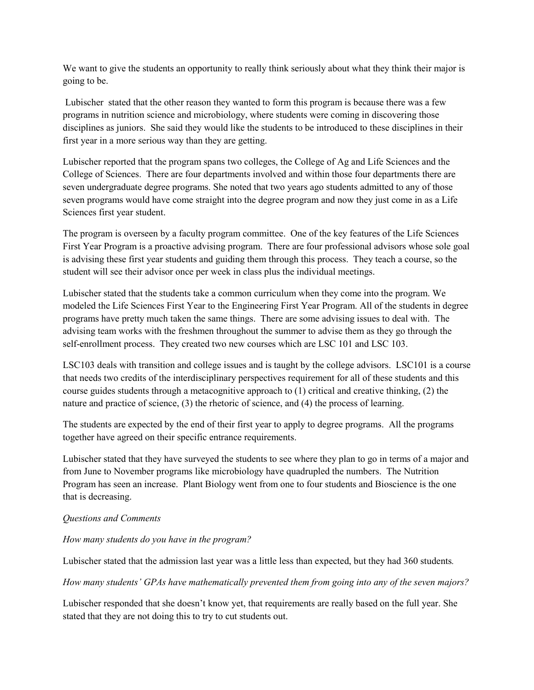We want to give the students an opportunity to really think seriously about what they think their major is going to be.

Lubischer stated that the other reason they wanted to form this program is because there was a few programs in nutrition science and microbiology, where students were coming in discovering those disciplines as juniors. She said they would like the students to be introduced to these disciplines in their first year in a more serious way than they are getting.

Lubischer reported that the program spans two colleges, the College of Ag and Life Sciences and the College of Sciences. There are four departments involved and within those four departments there are seven undergraduate degree programs. She noted that two years ago students admitted to any of those seven programs would have come straight into the degree program and now they just come in as a Life Sciences first year student.

The program is overseen by a faculty program committee. One of the key features of the Life Sciences First Year Program is a proactive advising program. There are four professional advisors whose sole goal is advising these first year students and guiding them through this process. They teach a course, so the student will see their advisor once per week in class plus the individual meetings.

Lubischer stated that the students take a common curriculum when they come into the program. We modeled the Life Sciences First Year to the Engineering First Year Program. All of the students in degree programs have pretty much taken the same things. There are some advising issues to deal with. The advising team works with the freshmen throughout the summer to advise them as they go through the self-enrollment process. They created two new courses which are LSC 101 and LSC 103.

LSC103 deals with transition and college issues and is taught by the college advisors. LSC101 is a course that needs two credits of the interdisciplinary perspectives requirement for all of these students and this course guides students through a metacognitive approach to (1) critical and creative thinking, (2) the nature and practice of science, (3) the rhetoric of science, and (4) the process of learning.

The students are expected by the end of their first year to apply to degree programs. All the programs together have agreed on their specific entrance requirements.

Lubischer stated that they have surveyed the students to see where they plan to go in terms of a major and from June to November programs like microbiology have quadrupled the numbers. The Nutrition Program has seen an increase. Plant Biology went from one to four students and Bioscience is the one that is decreasing.

#### *Questions and Comments*

#### *How many students do you have in the program?*

Lubischer stated that the admission last year was a little less than expected, but they had 360 students*.* 

*How many students' GPAs have mathematically prevented them from going into any of the seven majors?*

Lubischer responded that she doesn't know yet, that requirements are really based on the full year. She stated that they are not doing this to try to cut students out.